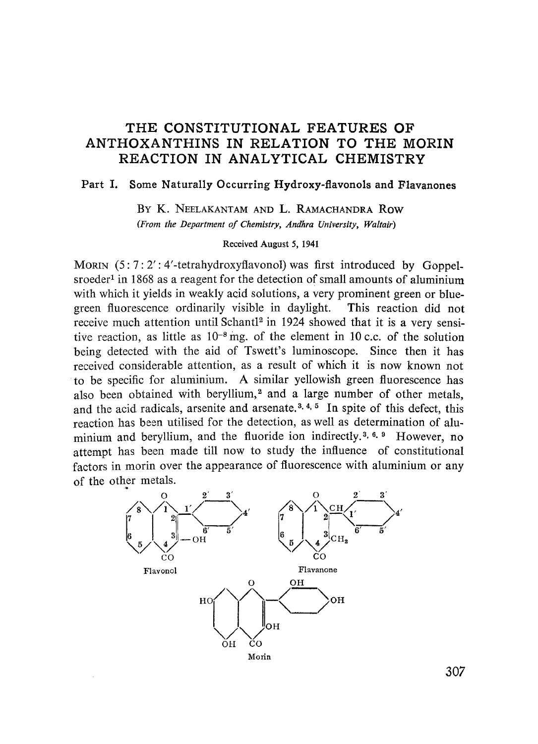## THE CONSTITUTIONAL FEATURES OF ANTHOXANTHINS IN RELATION TO THE MORIN REACTION IN ANALYTICAL CHEMISTRY

## Part I. Some Naturally Occurring **Hydroxy-**flavonols and Flavanones

BY K. NEELAKANTAM AND L. RAMACHANDRA Row *(From the Department of Chemistry, Andhra University, Waltair)*

#### Received August 5, 1941

MORIN  $(5:7:2':4'-tetrahydroxyflavonol)$  was first introduced by Goppelsroeder<sup>1</sup> in 1868 as a reagent for the detection of small amounts of aluminium with which it yields in weakly acid solutions, a very prominent green or bluegreen fluorescence ordinarily visible in daylight. This reaction did not receive much attention until Schantl<sup>2</sup> in 1924 showed that it is a very sensitive reaction, as little as  $10^{-8}$  mg, of the element in 10 c.c. of the solution being detected with the aid of Tswett's luminoscope. Since then it has received considerable attention, as a result of which it is now known not to be specific for aluminium. A similar yellowish green fluorescence has also been obtained with beryllium,<sup>2</sup> and a large number of other metals, and the acid radicals, arsenite and arsenate.<sup>3, 4, 5</sup> In spite of this defect, this reaction has been utilised for the detection, as well as determination of aluminium and beryllium, and the fluoride ion indirectly.<sup>3, 6, 9</sup> However, no attempt has been made till now to study the influence of constitutional factors in morin over the appearance of fluorescence with aluminium or any of the other metals. ich it is no<br>sh green flu<br>number of the number of<br>let as determined by a set of the set of the set of the set of the set of the set of the set of the set of the set of the set of  $\frac{2}{\sqrt{1-\frac{1}{6}}}\times\frac{3}{\sqrt{1-\frac{1}{6}}}\times$ 



307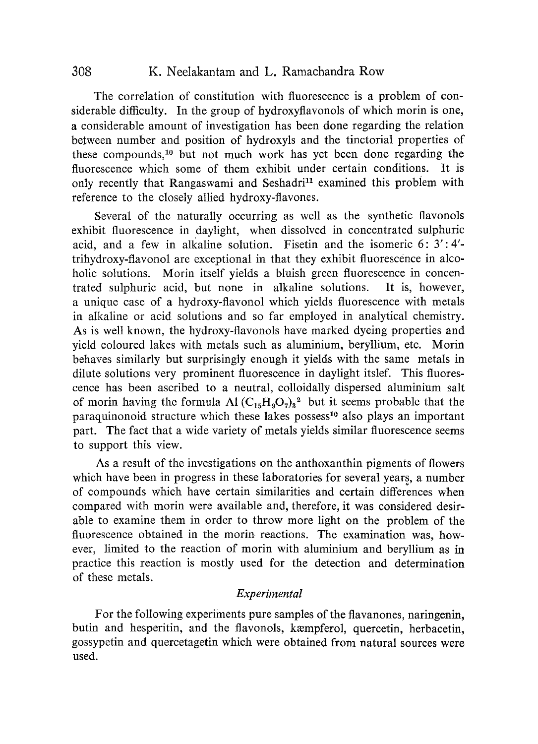### 308 K. Neelakantam and L. Ramachandra Row

The correlation of constitution with fluorescence is a problem of considerable difficulty. In the group of hydroxyflavonols of which morin is one, a considerable amount of investigation has been done regarding the relation between number and position of hydroxyls and the tinctorial properties of these compounds, <sup>1</sup>° but not much work has yet been done regarding the fluorescence which some of them exhibit under certain conditions. It is only recently that Rangaswami and Seshadri<sup>11</sup> examined this problem with reference to the closely allied hydroxy-flavones.

Several of the naturally occurring as well as the synthetic flavonols exhibit fluorescence in daylight, when dissolved in concentrated sulphuric acid, and a few in alkaline solution. Fisetin and the isomeric  $6: 3': 4'$ trihydroxy-flavonol are exceptional in that they exhibit fluorescence in alcoholic solutions. Morin itself yields a bluish green fluorescence in concentrated sulphuric acid, but none in alkaline solutions. It is, however, a unique case of a hydroxy-flavonol which yields fluorescence with metals in alkaline or acid solutions and so far employed in analytical chemistry. As is well known, the hydroxy-flavonols have marked dyeing properties and yield coloured lakes with metals such as aluminium, beryllium, etc. Morin behaves similarly but surprisingly enough it yields with the same metals in dilute solutions very prominent fluorescence in daylight itslef. This fluorescence has been ascribed to a neutral, colloidally dispersed aluminium salt of morin having the formula Al  $(C_{15}H_9O_7)_3^2$  but it seems probable that the paraquinonoid structure which these lakes possess<sup>10</sup> also plays an important part. The fact that a wide variety of metals yields similar fluorescence seems to support this view.

As a result of the investigations on the anthoxanthin pigments of flowers which have been in progress in these laboratories for several years, a number of compounds which have certain similarities and certain differences when compared with morin were available and, therefore, it was considered desirable to examine them in order to throw more light on the problem of the fluorescence obtained in the morin reactions. The examination was, however, limited to the reaction of morin with aluminium and beryllium as in practice this reaction is mostly used for the detection and determination of these metals.

#### *Experimental*

For the following experiments pure samples of the flavanones, naringenin, butin and hesperitin, and the flavonols, kempferol, quercetin, herbacetin, gossypetin and quercetagetin which were obtained from natural sources were used.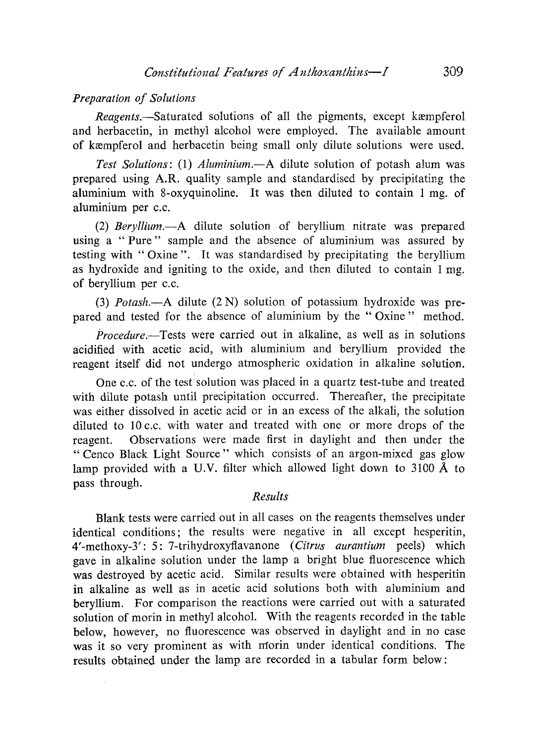#### *Preparation of Solutions*

*Reagents.*—Saturated solutions of all the pigments, except kæmpferol and herbacetin, in methyl alcohol were employed. The available amount of kempferol and herbacetin being small only dilute solutions were used.

*Test Solutions: (1) Aluminium.—A* dilute solution of potash alum was prepared using A.R. quality sample and standardised by precipitating the aluminium with 8-oxyquinoline. It was then diluted to contain 1 mg. of aluminium per c.c.

*(2) Beryllium.—A* dilute solution of beryllium nitrate was prepared using a "Pure" sample and the absence of aluminium was assured by testing with "Oxine". It was standardised by precipitating the beryllium as hydroxide and igniting to the oxide, and then diluted to contain 1 mg. of beryllium per c.c.

*(3) Potash.—A* dilute (2 N) solution of potassium hydroxide was prepared and tested for the absence of aluminium by the " Oxine " method.

*Procedure.—Tests* were carried out in alkaline, as well as in solutions acidified with acetic acid, with aluminium and beryllium provided the reagent itself did not undergo atmospheric oxidation in alkaline solution.

One c.c. of the test solution was placed in a quartz test-tube and treated with dilute potash until precipitation occurred. Thereafter, the precipitate was either dissolved in acetic acid or in an excess of the alkali, the solution diluted to 10 c.c. with water and treated with one or more drops of the reagent. Observations were made first in daylight and then under the " Cenco Black Light Source " which consists of an argon-mixed gas glow lamp provided with a U.V. filter which allowed light down to 3100 *A* to pass through.

#### *Results*

Blank tests were carried out in all cases on the reagents themselves under identical conditions; the results were negative in all except hesperitin, 4'-methoxy-3': 5: 7-trihydroxyflavanone *(Citrus aurantium* peels) which gave in alkaline solution under the lamp a bright blue fluorescence which was destroyed by acetic acid. Similar results were obtained with hesperitin in alkaline as well as in acetic acid solutions both with aluminium and beryllium. For comparison the reactions were carried out with a saturated solution of morin in methyl alcohol. With the reagents recorded in the table below, however, no fluorescence was observed in daylight and in no case was it so very prominent as with nmorin under identical conditions. The results obtained under the lamp are recorded in a tabular form below: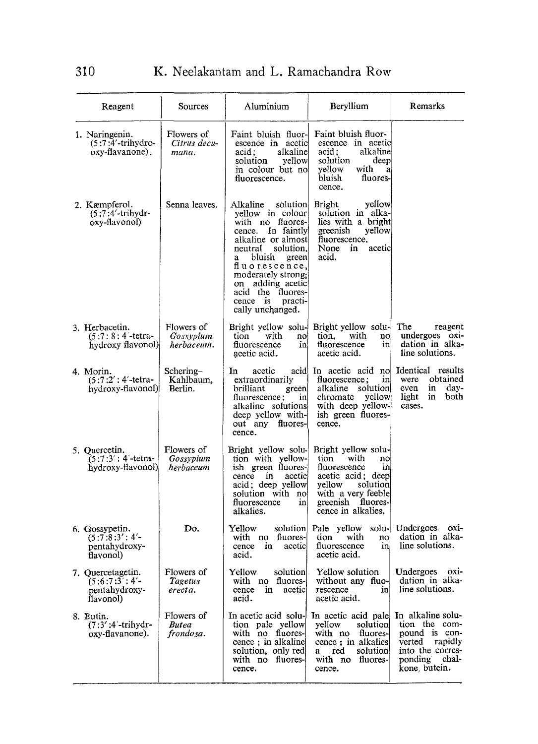| Reagent                                                           | Sources                                 | Aluminium                                                                                                                                                                                                                                                                                | Beryllium                                                                                                                                                                   | Remarks                                                                                                                     |
|-------------------------------------------------------------------|-----------------------------------------|------------------------------------------------------------------------------------------------------------------------------------------------------------------------------------------------------------------------------------------------------------------------------------------|-----------------------------------------------------------------------------------------------------------------------------------------------------------------------------|-----------------------------------------------------------------------------------------------------------------------------|
| 1. Naringenin.<br>$(5:7:4'-trihydro-$<br>oxy-flavanone).          | Flowers of<br>Citrus decu-<br>mana.     | Faint bluish fluor-l<br>escence in acetic<br>acid:<br>alkaline<br>yellow<br>solution<br>in colour but no<br>fluorescence.                                                                                                                                                                | Faint bluish fluor-<br>escence in acetic<br>acid;<br>alkaline<br>solution<br>deep<br>yellow<br>with<br>a<br>fluores-<br>bluish<br>cence.                                    |                                                                                                                             |
| 2. Kæmpferol.<br>$(5:7:4'-trihydr-$<br>oxy-flavonol)              | Senna leaves.                           | Alkaline<br>solution<br>yellow in colour<br>with no fluores-<br>In faintly<br>cence.<br>alkaline or almost<br>neutral<br>solution.<br>bluish<br>green<br>a<br>fluorescence,<br>moderately strong;<br>adding acetic<br>on<br>acid the fluores-<br>cence is<br>practi-<br>cally unchanged. | <b>Bright</b><br>yellow<br>solution in alka-<br>lies with a bright<br>greenish<br>yellow<br>fluorescence.<br>None<br>in<br>acetic<br>acid.                                  |                                                                                                                             |
| 3. Herbacetin.<br>$(5:7:8:4$ -tetra-<br>hydroxy flavonol)         | Flowers of<br>Gossypium<br>herbaceum.   | tion<br>with<br>noj<br>fluorescence<br>in<br>acetic acid.                                                                                                                                                                                                                                | Bright yellow solu- Bright yellow solu-<br>tion.<br>with<br>no<br>fluorescence<br>in<br>acetic acid.                                                                        | The<br>reagent<br>undergoes oxi-<br>dation in alka-<br>line solutions.                                                      |
| 4. Morin.<br>$(5:7:2':4'-tetra-$<br>hydroxy-flavonol)             | Schering-<br>Kahlbaum,<br>Berlin.       | In<br>acetic<br>extraordinarily<br>brilliant<br>green<br>fluorescence;<br>in<br>alkaline solutions<br>deep yellow with-<br>out any fluores-<br>cence.                                                                                                                                    | acid In acetic acid no Identical results<br>fluorescence;<br>in<br>alkaline<br>solution<br>chromate<br>yellow<br>with deep yellow-<br>ish green fluores-<br>cence.          | obtained<br>were<br>in<br>day-<br>even<br>light<br>in<br>both<br>cases.                                                     |
| 5. Quercetin.<br>$(5:7:3':4'-tetra-$<br>hydroxy-flavonol)         | Flowers of<br>Gossypium<br>herbaceum    | Bright yellow solu-<br>tion with yellow-<br>ish green fluores-<br>cence in<br>acetic<br>acid; deep yellow<br>solution with no<br>fluorescence<br>in<br>alkalies.                                                                                                                         | Bright yellow solu-<br>tion<br>with<br>no<br>fluorescence<br>in<br>acetic acid; deep<br>solution<br>yellow<br>with a very feeble<br>greenish fluores-<br>cence in alkalies. |                                                                                                                             |
| 6. Gossypetin.<br>(5:7:8:3':4'<br>pentahydroxy-<br>flavonol)      | Do.                                     | Yellow<br>solution<br>with no fluores-<br>acetic<br>cence<br>in<br>acid.                                                                                                                                                                                                                 | Pale yellow solu- Undergoes<br>tion<br>with<br>no<br>fluorescence<br>in<br>acetic acid.                                                                                     | OXI<br>dation in alka-<br>line solutions.                                                                                   |
| 7. Quercetagetin.<br>$(5:6:7:3:4'-$<br>pentahydroxy-<br>flavonol) | Flowers of<br>Tagetus<br>erecta.        | solution<br>Yellow<br>with no fluores-<br>cence in<br>acetic<br>acid.                                                                                                                                                                                                                    | Yellow solution<br>without any fluo-<br>rescence<br>in<br>acetic acid.                                                                                                      | Undergoes oxi-<br>dation in alka-<br>line solutions.                                                                        |
| 8. Butin.<br>(7:3':4'-trihydr-<br>oxy-flavanone).                 | Flowers of<br><b>Butea</b><br>frondosa. | In acetic acid solu-<br>tion pale yellow<br>with no fluores-<br>cence; in alkaline<br>solution, only red<br>with no fluores-<br>cence.                                                                                                                                                   | In acetic acid pale<br>yellow<br>solution<br>with no fluores-<br>cence; in alkalies<br>red<br>solution<br>a -<br>with no fluores-<br>cence.                                 | In alkaline solu-<br>tion the com-<br>pound is con-<br>verted rapidly<br>into the corres-<br>ponding chal-<br>kone, butein. |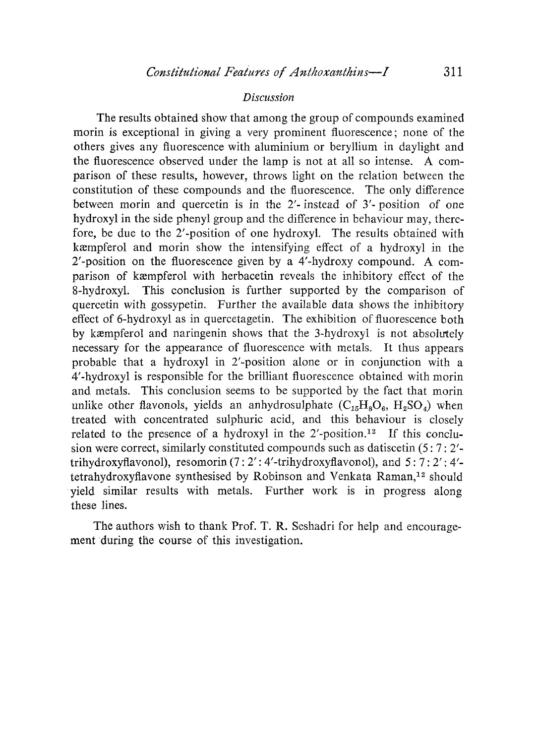#### *Discussion*

The results obtained show that among the group of compounds examined morin is exceptional in giving a very prominent fluorescence; none of the others gives any fluorescence with aluminium or beryllium in daylight and the fluorescence observed under the lamp is not at all so intense. A comparison of these results, however, throws light on the relation between the constitution of these compounds and the fluorescence. The only difference between morin and quercetin is in the 2'- instead of 3'- position of one hydroxyl in the side phenyl group and the difference in behaviour may, therefore, be due to the 2'-position of one hydroxyl. The results obtained with kempferol and morin show the intensifying effect of a hydroxyl in the 2'-position on the fluorescence given by a 4'-hydroxy compound. A comparison of kempferol with herbacetin reveals the inhibitory effect of the 8-hydroxyl. This conclusion is further supported by the comparison of quercetin with gossypetin. Further the available data shows the inhibitory effect of 6-hydroxyl as in quercetagetin. The exhibition of fluorescence both by kxmpferol and naringenin shows that the 3-hydroxyl is not absolutely necessary for the appearance of fluorescence with metals. It thus appears probable that a hydroxyl in 2'-position alone or in conjunction with a 4'-hydroxyl is responsible for the brilliant fluorescence obtained with morin and metals. This conclusion seems to be supported by the fact that morin unlike other flavonols, yields an anhydrosulphate  $(C_{15}H_8O_6, H_2SO_4)$  when treated with concentrated sulphuric acid, and this behaviour is closely related to the presence of a hydroxyl in the  $2^r$ -position.<sup>12</sup> If this conclusion were correct, similarly constituted compounds such as datiscetin (5: 7: 2' trihydroxyflavonol), resomorin (7: 2': 4'-trihydroxyflavonol), and 5: 7: 2': 4' tetrahydroxyflavone synthesised by Robinson and Venkata Raman, <sup>12</sup> should yield similar results with metals. Further work is in progress along these lines.

The authors wish to thank Prof. T. R. Seshadri for help and encouragement 'during the course of this investigation.